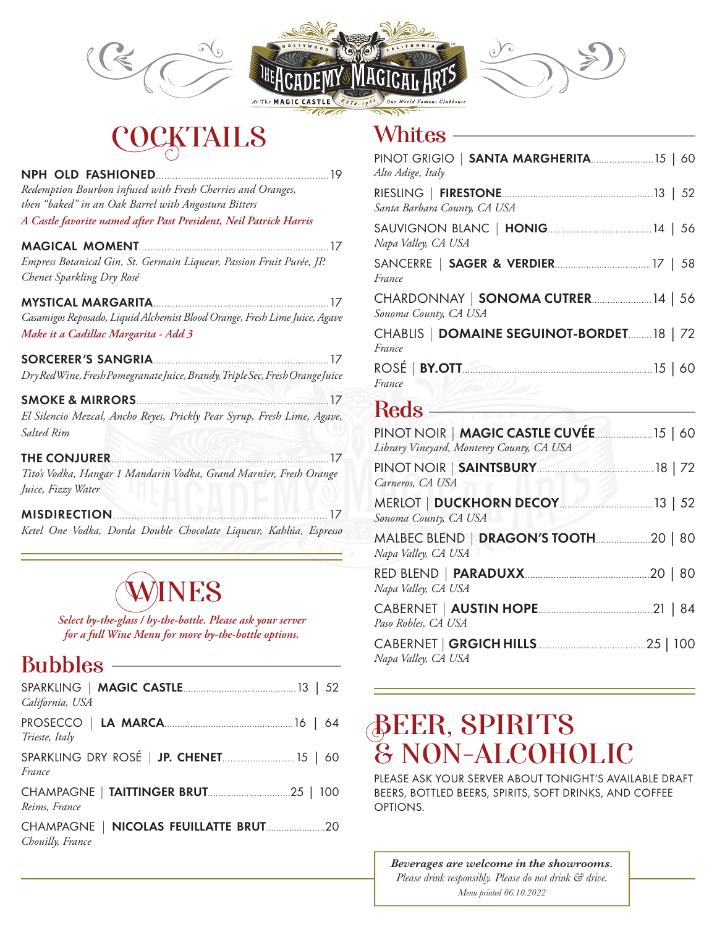





# **COCKTAILS**

| 19                                                                           |  |
|------------------------------------------------------------------------------|--|
| Redemption Bourbon infused with Fresh Cherries and Oranges,                  |  |
| then "baked" in an Oak Barrel with Angostura Bitters                         |  |
| A Castle favorite named after Past President, Neil Patrick Harris            |  |
|                                                                              |  |
| Empress Botanical Gin, St. Germain Liqueur, Passion Fruit Purée, JP.         |  |
| Chenet Sparkling Dry Rosé                                                    |  |
| 17                                                                           |  |
| Casamigos Reposado, Liquid Alchemist Blood Orange, Fresh Lime Juice, Agave   |  |
| Make it a Cadillac Margarita - Add 3                                         |  |
|                                                                              |  |
| Dry RedWine, Fresh Pomegranate Juice, Brandy, Triple Sec, Fresh Orange Juice |  |
|                                                                              |  |
| El Silencio Mezcal, Ancho Reyes, Prickly Pear Syrup, Fresh Lime, Agave,      |  |
| <b>Salted Rim</b>                                                            |  |
| THE CONJURER<br>17                                                           |  |
| Tito's Vodka, Hangar 1 Mandarin Vodka, Grand Marnier, Fresh Orange           |  |
| Juice, Fizzy Water                                                           |  |
| <b>MISDIRECTION</b><br>17                                                    |  |
| Ketel One Vodka, Dorda Double Chocolate Liqueur, Kahlúa, Espresso            |  |

# WINES

*Select by-the-glass / by-the-bottle. Please ask your server for a full Wine Menu for more by-the-bottle options.*

#### Bubbles

| California, USA                                   |
|---------------------------------------------------|
| Trieste, Italy                                    |
| SPARKLING DRY ROSÉ   JP. CHENET 15   60<br>France |
| Reims, France                                     |
| Chouilly, France                                  |

#### **Whites**

| PINOT GRIGIO   SANTA MARGHERITA 15   60<br>Alto Adige, Italy |  |
|--------------------------------------------------------------|--|
| Santa Barbara County, CA USA                                 |  |
| Napa Valley, CA USA                                          |  |
| France                                                       |  |
| CHARDONNAY   SONOMA CUTRER 14   56<br>Sonoma County, CA USA  |  |
| CHABLIS   DOMAINE SEGUINOT-BORDET 18   72<br>France          |  |
| France<br>$\approx$ 0/1/                                     |  |

#### Reds -

| Library Vineyard, Monterey County, CA USA |  |
|-------------------------------------------|--|
| Carneros, CA USA                          |  |
| Sonoma County, CA USA                     |  |
| Napa Valley, CA USA                       |  |
| Napa Valley, CA USA                       |  |
| Paso Robles, CA USA                       |  |
| Napa Valley, CA USA                       |  |

# **DEER, SPIRI I S<br>O NON ALOQUE & NON-ALCOHOLIC**<br>REASEASE YOUR SERVER AROUT TONICHT'S AVAIL

PLEASE ASK YOUR SERVER ABOUT TONIGHT'S AVAILABLE DRAFT BEERS, BOTTLED BEERS, SPIRITS, SOFT DRINKS, AND COFFEE OPTIONS*.*

*Beverages are welcome in the showrooms. Please drink responsibly. Please do not drink & drive. Menu printed 06.10.2022*